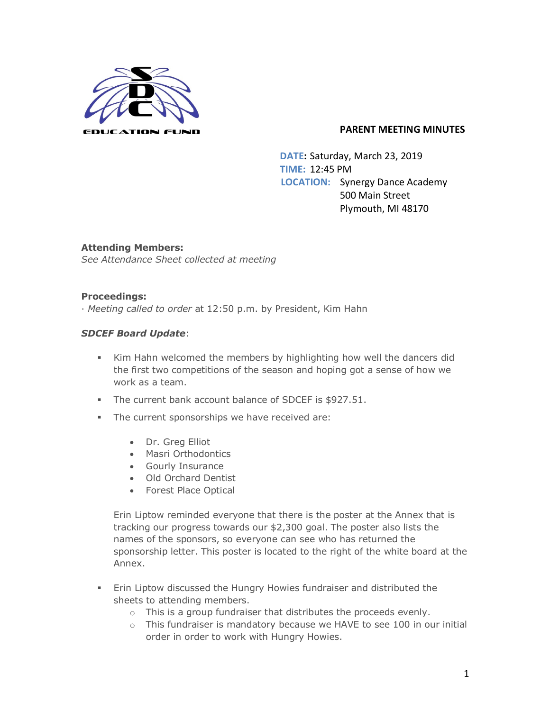

 **DATE:** Saturday, March 23, 2019 **TIME:** 12:45 PM  **LOCATION:** Synergy Dance Academy 500 Main Street Plymouth, MI 48170

**Attending Members:** *See Attendance Sheet collected at meeting*

## **Proceedings:**

· *Meeting called to order* at 12:50 p.m. by President, Kim Hahn

## *SDCEF Board Update*:

- § Kim Hahn welcomed the members by highlighting how well the dancers did the first two competitions of the season and hoping got a sense of how we work as a team.
- § The current bank account balance of SDCEF is \$927.51.
- **•** The current sponsorships we have received are:
	- Dr. Greg Elliot
	- Masri Orthodontics
	- Gourly Insurance
	- Old Orchard Dentist
	- Forest Place Optical

Erin Liptow reminded everyone that there is the poster at the Annex that is tracking our progress towards our \$2,300 goal. The poster also lists the names of the sponsors, so everyone can see who has returned the sponsorship letter. This poster is located to the right of the white board at the Annex.

- **Erin Liptow discussed the Hungry Howies fundraiser and distributed the** sheets to attending members.
	- o This is a group fundraiser that distributes the proceeds evenly.
	- o This fundraiser is mandatory because we HAVE to see 100 in our initial order in order to work with Hungry Howies.